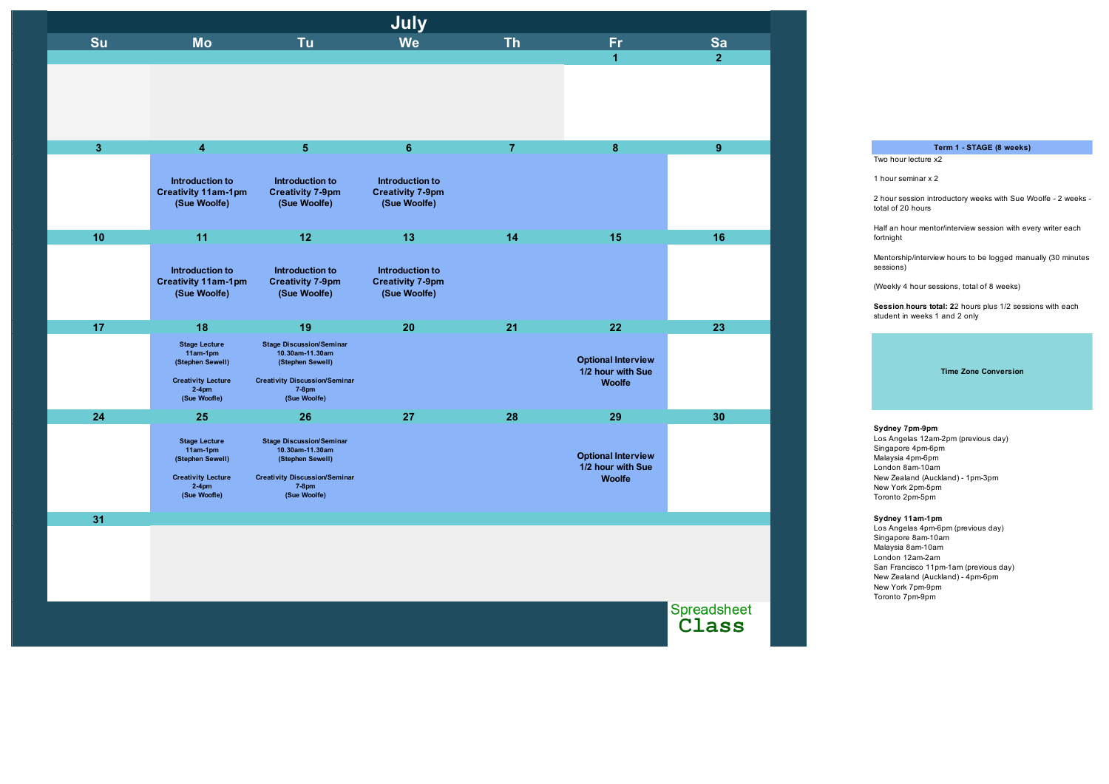Mentorship/interview hours to be logged manually (30 minutes sessions)

| <b>Th</b><br><b>Tu</b><br><b>We</b><br><b>Su</b><br><b>Mo</b><br>Fr.<br>Sa<br>2 <sup>1</sup><br>$\blacktriangleleft$<br>3 <sup>2</sup><br>$5\phantom{.0}$<br>6 <sup>1</sup><br>$\overline{7}$<br>8<br>9 <sup>°</sup><br>$\overline{\mathbf{4}}$<br><b>Introduction to</b><br>Introduction to<br>Introduction to<br><b>Creativity 11am-1pm</b><br><b>Creativity 7-9pm</b><br><b>Creativity 7-9pm</b><br>(Sue Woolfe)<br>(Sue Woolfe)<br>(Sue Woolfe)<br>10<br>11<br>12<br>13<br>16<br>14<br>15<br><b>Introduction to</b><br>Introduction to<br>Introduction to<br><b>Creativity 11am-1pm</b><br><b>Creativity 7-9pm</b><br><b>Creativity 7-9pm</b><br>(Sue Woolfe)<br>(Sue Woolfe)<br>(Sue Woolfe)<br>17<br>18<br>19<br>20<br>21<br>22<br>23<br><b>Stage Discussion/Seminar</b><br><b>Stage Lecture</b><br>10.30am-11.30am<br>11am-1pm<br><b>Optional Interview</b><br>(Stephen Sewell)<br>(Stephen Sewell)<br>1/2 hour with Sue<br><b>Creativity Discussion/Seminar</b><br><b>Creativity Lecture</b><br><b>Woolfe</b><br>$2-4$ pm<br>$7-8$ pm<br>(Sue Woolfe)<br>(Sue Woofle)<br>24<br>28<br>29<br>30<br>25<br>26<br>27<br><b>Stage Discussion/Seminar</b><br><b>Stage Lecture</b><br>10.30am-11.30am<br>$11am-1pm$<br><b>Optional Interview</b><br>(Stephen Sewell)<br>(Stephen Sewell)<br>1/2 hour with Sue<br><b>Creativity Lecture</b><br><b>Creativity Discussion/Seminar</b><br><b>Woolfe</b><br>$2-4$ pm<br>$7-8$ pm<br>(Sue Woolfe)<br>(Sue Woofle)<br>31 |  | July |  |                      |
|-------------------------------------------------------------------------------------------------------------------------------------------------------------------------------------------------------------------------------------------------------------------------------------------------------------------------------------------------------------------------------------------------------------------------------------------------------------------------------------------------------------------------------------------------------------------------------------------------------------------------------------------------------------------------------------------------------------------------------------------------------------------------------------------------------------------------------------------------------------------------------------------------------------------------------------------------------------------------------------------------------------------------------------------------------------------------------------------------------------------------------------------------------------------------------------------------------------------------------------------------------------------------------------------------------------------------------------------------------------------------------------------------------------------------------------------------------------------|--|------|--|----------------------|
|                                                                                                                                                                                                                                                                                                                                                                                                                                                                                                                                                                                                                                                                                                                                                                                                                                                                                                                                                                                                                                                                                                                                                                                                                                                                                                                                                                                                                                                                   |  |      |  |                      |
|                                                                                                                                                                                                                                                                                                                                                                                                                                                                                                                                                                                                                                                                                                                                                                                                                                                                                                                                                                                                                                                                                                                                                                                                                                                                                                                                                                                                                                                                   |  |      |  |                      |
|                                                                                                                                                                                                                                                                                                                                                                                                                                                                                                                                                                                                                                                                                                                                                                                                                                                                                                                                                                                                                                                                                                                                                                                                                                                                                                                                                                                                                                                                   |  |      |  |                      |
|                                                                                                                                                                                                                                                                                                                                                                                                                                                                                                                                                                                                                                                                                                                                                                                                                                                                                                                                                                                                                                                                                                                                                                                                                                                                                                                                                                                                                                                                   |  |      |  |                      |
|                                                                                                                                                                                                                                                                                                                                                                                                                                                                                                                                                                                                                                                                                                                                                                                                                                                                                                                                                                                                                                                                                                                                                                                                                                                                                                                                                                                                                                                                   |  |      |  |                      |
|                                                                                                                                                                                                                                                                                                                                                                                                                                                                                                                                                                                                                                                                                                                                                                                                                                                                                                                                                                                                                                                                                                                                                                                                                                                                                                                                                                                                                                                                   |  |      |  |                      |
|                                                                                                                                                                                                                                                                                                                                                                                                                                                                                                                                                                                                                                                                                                                                                                                                                                                                                                                                                                                                                                                                                                                                                                                                                                                                                                                                                                                                                                                                   |  |      |  |                      |
|                                                                                                                                                                                                                                                                                                                                                                                                                                                                                                                                                                                                                                                                                                                                                                                                                                                                                                                                                                                                                                                                                                                                                                                                                                                                                                                                                                                                                                                                   |  |      |  |                      |
|                                                                                                                                                                                                                                                                                                                                                                                                                                                                                                                                                                                                                                                                                                                                                                                                                                                                                                                                                                                                                                                                                                                                                                                                                                                                                                                                                                                                                                                                   |  |      |  |                      |
|                                                                                                                                                                                                                                                                                                                                                                                                                                                                                                                                                                                                                                                                                                                                                                                                                                                                                                                                                                                                                                                                                                                                                                                                                                                                                                                                                                                                                                                                   |  |      |  |                      |
|                                                                                                                                                                                                                                                                                                                                                                                                                                                                                                                                                                                                                                                                                                                                                                                                                                                                                                                                                                                                                                                                                                                                                                                                                                                                                                                                                                                                                                                                   |  |      |  |                      |
|                                                                                                                                                                                                                                                                                                                                                                                                                                                                                                                                                                                                                                                                                                                                                                                                                                                                                                                                                                                                                                                                                                                                                                                                                                                                                                                                                                                                                                                                   |  |      |  |                      |
|                                                                                                                                                                                                                                                                                                                                                                                                                                                                                                                                                                                                                                                                                                                                                                                                                                                                                                                                                                                                                                                                                                                                                                                                                                                                                                                                                                                                                                                                   |  |      |  |                      |
|                                                                                                                                                                                                                                                                                                                                                                                                                                                                                                                                                                                                                                                                                                                                                                                                                                                                                                                                                                                                                                                                                                                                                                                                                                                                                                                                                                                                                                                                   |  |      |  | Spreadsheet<br>Class |

Los Angelas 4pm-6pm (previous day) Singapore 8am-10am Malaysia 8am-10am London 12am-2am San Francisco 11pm-1am (previous day) New Zealand (Auckland) - 4pm-6pm New York 7pm-9pm Toronto 7pm-9pm

2 hour session introductory weeks with Sue Woolfe - 2 weeks total of 20 hours

Half an hour mentor/interview session with every writer each fortnight

(Weekly 4 hour sessions, total of 8 weeks)

**Session hours total: 2**2 hours plus 1/2 sessions with each student in weeks 1 and 2 only

#### **Time Zone Conversion**

## **Term 1 - STAGE (8 weeks)**

## **Sydney 7pm-9pm**

Los Angelas 12am-2pm (previous day) Singapore 4pm-6pm Malaysia 4pm-6pm London 8am-10am New Zealand (Auckland) - 1pm-3pm New York 2pm-5pm Toronto 2pm-5pm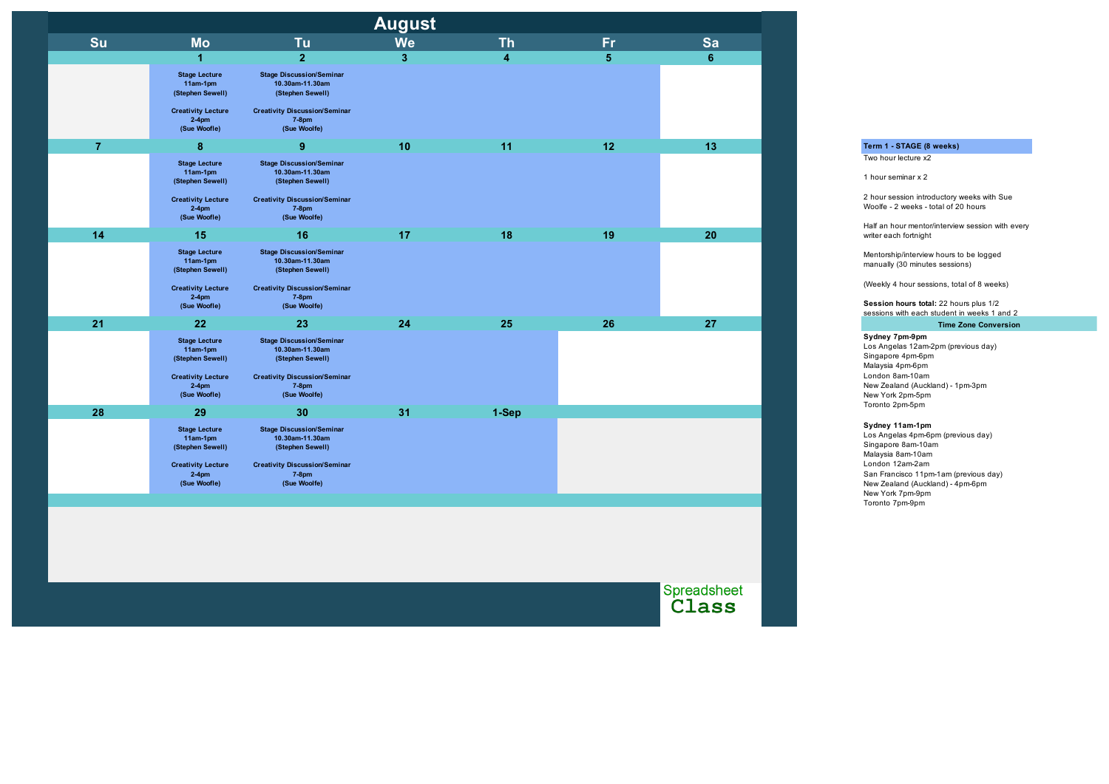| <b>August</b>  |                                                                                                               |                                                                                                                                                |                |                         |                |                |  |  |
|----------------|---------------------------------------------------------------------------------------------------------------|------------------------------------------------------------------------------------------------------------------------------------------------|----------------|-------------------------|----------------|----------------|--|--|
| Su             | <b>Mo</b>                                                                                                     | <b>Tu</b>                                                                                                                                      | <b>We</b>      | <b>Th</b>               | <b>Fr</b>      | Sa             |  |  |
|                | $\overline{\mathbf{1}}$                                                                                       | $\overline{2}$                                                                                                                                 | 3 <sup>1</sup> | $\overline{\mathbf{4}}$ | $5\phantom{1}$ | $6\phantom{1}$ |  |  |
|                | <b>Stage Lecture</b><br>11am-1pm<br>(Stephen Sewell)<br><b>Creativity Lecture</b>                             | <b>Stage Discussion/Seminar</b><br>10.30am-11.30am<br>(Stephen Sewell)<br><b>Creativity Discussion/Seminar</b>                                 |                |                         |                |                |  |  |
|                | $2-4$ pm<br>(Sue Woofle)                                                                                      | $7-8$ pm<br>(Sue Woolfe)                                                                                                                       |                |                         |                |                |  |  |
| $\overline{7}$ | 8                                                                                                             | $\boldsymbol{9}$                                                                                                                               | 10             | 11                      | 12             | 13             |  |  |
|                | <b>Stage Lecture</b><br>11am-1pm<br>(Stephen Sewell)                                                          | <b>Stage Discussion/Seminar</b><br>10.30am-11.30am<br>(Stephen Sewell)                                                                         |                |                         |                |                |  |  |
|                | <b>Creativity Lecture</b><br>$2-4$ pm<br>(Sue Woofle)                                                         | <b>Creativity Discussion/Seminar</b><br><b>7-8pm</b><br>(Sue Woolfe)                                                                           |                |                         |                |                |  |  |
| 14             | 15                                                                                                            | 16                                                                                                                                             | 17             | 18                      | 19             | 20             |  |  |
|                | <b>Stage Lecture</b><br>11am-1pm<br>(Stephen Sewell)<br><b>Creativity Lecture</b><br>$2-4$ pm<br>(Sue Woofle) | <b>Stage Discussion/Seminar</b><br>10.30am-11.30am<br>(Stephen Sewell)<br><b>Creativity Discussion/Seminar</b><br>$7-8$ pm<br>(Sue Woolfe)     |                |                         |                |                |  |  |
| 21             | 22                                                                                                            | 23                                                                                                                                             | 24             | 25                      | 26             | 27             |  |  |
|                | <b>Stage Lecture</b><br>11am-1pm<br>(Stephen Sewell)<br><b>Creativity Lecture</b><br>$2-4$ pm<br>(Sue Woofle) | <b>Stage Discussion/Seminar</b><br>10.30am-11.30am<br>(Stephen Sewell)<br><b>Creativity Discussion/Seminar</b><br>$7-8$ pm<br>(Sue Woolfe)     |                |                         |                |                |  |  |
| 28             | 29                                                                                                            | 30                                                                                                                                             | 31             | 1-Sep                   |                |                |  |  |
|                | <b>Stage Lecture</b><br>11am-1pm<br>(Stephen Sewell)<br><b>Creativity Lecture</b><br>$2-4$ pm<br>(Sue Woofle) | <b>Stage Discussion/Seminar</b><br>10.30am-11.30am<br>(Stephen Sewell)<br><b>Creativity Discussion/Seminar</b><br><b>7-8pm</b><br>(Sue Woolfe) |                |                         |                |                |  |  |
|                |                                                                                                               |                                                                                                                                                |                |                         |                |                |  |  |

Spreadsheet<br>Class

**Session hours total:** 22 hours plus 1/2 sessions with each student in weeks 1 and 2

#### **Sydney 11am-1pm**

Los Angelas 4pm-6pm (previous day) Singapore 8am-10am Malaysia 8am-10am London 12am-2am San Francisco 11pm-1am (previous day) New Zealand (Auckland) - 4pm-6pm New York 7pm-9pm Toronto 7pm-9pm

## **Term 1 - STAGE (8 weeks)**

Two hour lecture x2

1 hour seminar x 2

2 hour session introductory weeks with Sue Woolfe - 2 weeks - total of 20 hours

Half an hour mentor/interview session with every writer each fortnight

Mentorship/interview hours to be logged manually (30 minutes sessions)

(Weekly 4 hour sessions, total of 8 weeks)

## **Time Zone Conversion**

### **Sydney 7pm-9pm**

Los Angelas 12am-2pm (previous day) Singapore 4pm-6pm Malaysia 4pm-6pm London 8am-10am New Zealand (Auckland) - 1pm-3pm New York 2pm-5pm Toronto 2pm-5pm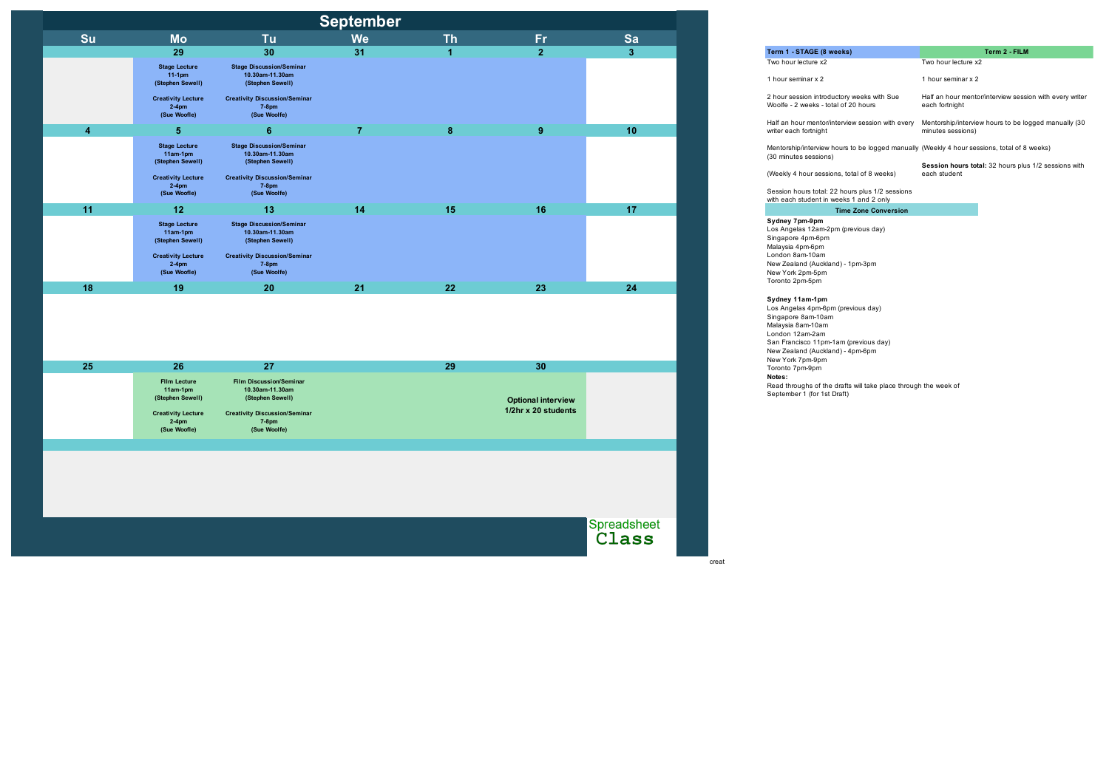|                         |                                                                                                       |                                                                                                                                               | <b>September</b> |             |                                                  |                      |
|-------------------------|-------------------------------------------------------------------------------------------------------|-----------------------------------------------------------------------------------------------------------------------------------------------|------------------|-------------|--------------------------------------------------|----------------------|
| Su                      | <b>Mo</b>                                                                                             | Tu                                                                                                                                            | <b>We</b>        | <b>Th</b>   | Fr                                               | Sa                   |
|                         | 29                                                                                                    | 30                                                                                                                                            | 31               | $\mathbf 1$ | $\overline{2}$                                   | $\mathbf{3}$         |
|                         | <b>Stage Lecture</b><br>$11-1$ pm<br>(Stephen Sewell)                                                 | <b>Stage Discussion/Seminar</b><br>10.30am-11.30am<br>(Stephen Sewell)                                                                        |                  |             |                                                  |                      |
|                         | <b>Creativity Lecture</b><br>$2-4$ pm<br>(Sue Woofle)                                                 | <b>Creativity Discussion/Seminar</b><br><b>7-8pm</b><br>(Sue Woolfe)                                                                          |                  |             |                                                  |                      |
| $\overline{\mathbf{4}}$ | $\overline{\mathbf{5}}$                                                                               | $6\phantom{1}$                                                                                                                                | $\overline{7}$   | 8           | 9                                                | 10                   |
|                         | <b>Stage Lecture</b><br>11am-1pm<br>(Stephen Sewell)                                                  | <b>Stage Discussion/Seminar</b><br>10.30am-11.30am<br>(Stephen Sewell)                                                                        |                  |             |                                                  |                      |
|                         | <b>Creativity Lecture</b><br>$2-4$ pm<br>(Sue Woofle)                                                 | <b>Creativity Discussion/Seminar</b><br><b>7-8pm</b><br>(Sue Woolfe)                                                                          |                  |             |                                                  |                      |
| 11                      | 12                                                                                                    | 13                                                                                                                                            | 14               | 15          | 16                                               | 17                   |
|                         | <b>Stage Lecture</b><br>11am-1pm<br>(Stephen Sewell)                                                  | <b>Stage Discussion/Seminar</b><br>10.30am-11.30am<br>(Stephen Sewell)                                                                        |                  |             |                                                  |                      |
|                         | <b>Creativity Lecture</b><br>$2-4$ pm<br>(Sue Woofle)                                                 | <b>Creativity Discussion/Seminar</b><br><b>7-8pm</b><br>(Sue Woolfe)                                                                          |                  |             |                                                  |                      |
|                         |                                                                                                       |                                                                                                                                               |                  |             |                                                  |                      |
| 18                      | 19                                                                                                    | 20                                                                                                                                            | 21               | 22          | 23                                               | 24                   |
|                         |                                                                                                       |                                                                                                                                               |                  |             |                                                  |                      |
| 25                      | 26                                                                                                    | 27                                                                                                                                            |                  | 29          | 30                                               |                      |
|                         | Film Lecture<br>11am-1pm<br>(Stephen Sewell)<br><b>Creativity Lecture</b><br>$2-4$ pm<br>(Sue Woofle) | <b>Film Discussion/Seminar</b><br>10.30am-11.30am<br>(Stephen Sewell)<br><b>Creativity Discussion/Seminar</b><br><b>7-8pm</b><br>(Sue Woolfe) |                  |             | <b>Optional interview</b><br>1/2hr x 20 students |                      |
|                         |                                                                                                       |                                                                                                                                               |                  |             |                                                  |                      |
|                         |                                                                                                       |                                                                                                                                               |                  |             |                                                  |                      |
|                         |                                                                                                       |                                                                                                                                               |                  |             |                                                  |                      |
|                         |                                                                                                       |                                                                                                                                               |                  |             |                                                  |                      |
|                         |                                                                                                       |                                                                                                                                               |                  |             |                                                  | Spreadsheet<br>Class |

Term 1 - STAGE (8 week Two hour lecture x2

creat

Half an hour mentor/inte writer each fortnight

Read throughs of the drafts will take place through the week of September 1 (for 1st Draft)

Mentorship/interview hou (30 minutes sessions)

(Weekly 4 hour sessions

Session hours total: 22 with each student in week

**Notes:** Los Angelas 4pm-6pm (previous day) Singapore 8am-10am Malaysia 8am-10am London 12am-2am San Francisco 11pm-1am (previous day) New Zealand (Auckland) - 4pm-6pm New York 7pm-9pm Toronto 7pm-9pm

**Sydney 11am-1pm** New Zealand (Auckland) - 1pm-3pm New York 2pm-5pm Toronto 2pm-5pm

| eeks)                                                                                 | Term 2 - FILM                                                             |
|---------------------------------------------------------------------------------------|---------------------------------------------------------------------------|
|                                                                                       | Two hour lecture x2                                                       |
|                                                                                       | 1 hour seminar x 2                                                        |
| ctory weeks with Sue<br>al of 20 hours                                                | Half an hour mentor/interview session with every writer<br>each fortnight |
| terview session with every                                                            | Mentorship/interview hours to be logged manually (30<br>minutes sessions) |
|                                                                                       | ours to be logged manually (Weekly 4 hour sessions, total of 8 weeks)     |
| าs, total of 8 weeks)                                                                 | Session hours total: 32 hours plus 1/2 sessions with<br>each student      |
| 2 hours plus 1/2 sessions                                                             |                                                                           |
| eeks 1 and 2 only                                                                     |                                                                           |
| <b>Time Zone Conversion</b>                                                           |                                                                           |
|                                                                                       |                                                                           |
| $\mathcal{L}$ and $\mathcal{L}$ and $\mathcal{L}$ and $\mathcal{L}$ and $\mathcal{L}$ |                                                                           |

**Sydney 7pm-9pm** Los Angelas 12am-2pm (previous day) Singapore 4pm-6pm Malaysia 4pm-6pm London 8am-10am

1 hour seminar x 2

2 hour session introduct Woolfe - 2 weeks - total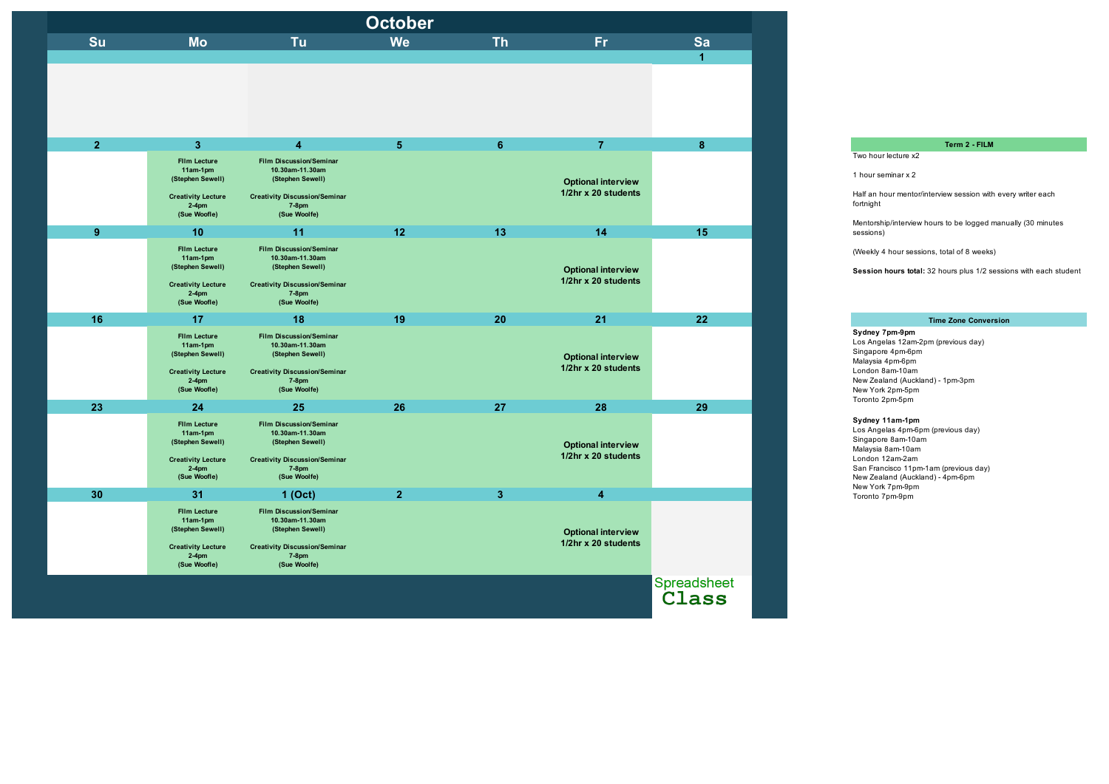Los Angelas 4pm-6pm (previous day) Singapore 8am-10am Malaysia 8am-10am London 12am-2am San Francisco 11pm-1am (previous day) New Zealand (Auckland) - 4pm-6pm New York 7pm-9pm Toronto 7pm-9pm

| <b>October</b> |                                                                                                              |                                                                                                                                           |                |                 |                                                  |                      |  |  |
|----------------|--------------------------------------------------------------------------------------------------------------|-------------------------------------------------------------------------------------------------------------------------------------------|----------------|-----------------|--------------------------------------------------|----------------------|--|--|
| Su             | <b>Mo</b>                                                                                                    | <b>Tu</b>                                                                                                                                 | <b>We</b>      | <b>Th</b>       | Fr.                                              | Sa                   |  |  |
|                |                                                                                                              |                                                                                                                                           |                |                 |                                                  | $\overline{1}$       |  |  |
|                |                                                                                                              |                                                                                                                                           |                |                 |                                                  |                      |  |  |
| 2 <sup>1</sup> | 3 <sup>1</sup>                                                                                               | $\overline{\mathbf{4}}$                                                                                                                   | 5 <sup>5</sup> | $6\phantom{1}6$ | $\overline{7}$                                   | $\boldsymbol{8}$     |  |  |
|                | <b>Film Lecture</b><br>11am-1pm<br>(Stephen Sewell)<br><b>Creativity Lecture</b><br>$2-4$ pm<br>(Sue Woofle) | <b>Film Discussion/Seminar</b><br>10.30am-11.30am<br>(Stephen Sewell)<br><b>Creativity Discussion/Seminar</b><br>$7-8$ pm<br>(Sue Woolfe) |                |                 | <b>Optional interview</b><br>1/2hr x 20 students |                      |  |  |
|                |                                                                                                              |                                                                                                                                           |                |                 |                                                  |                      |  |  |
| 9              | 10                                                                                                           | 11                                                                                                                                        | 12             | 13              | 14                                               | 15                   |  |  |
|                | <b>Film Lecture</b><br>11am-1pm<br>(Stephen Sewell)                                                          | <b>Film Discussion/Seminar</b><br>10.30am-11.30am<br>(Stephen Sewell)                                                                     |                |                 | <b>Optional interview</b>                        |                      |  |  |
|                | <b>Creativity Lecture</b><br>$2-4$ pm<br>(Sue Woofle)                                                        | <b>Creativity Discussion/Seminar</b><br>7-8pm<br>(Sue Woolfe)                                                                             |                |                 | 1/2hr x 20 students                              |                      |  |  |
| 16             | 17                                                                                                           | 18                                                                                                                                        | 19             | 20              | 21                                               | 22                   |  |  |
|                | <b>Film Lecture</b><br>11am-1pm<br>(Stephen Sewell)<br><b>Creativity Lecture</b><br>$2-4$ pm<br>(Sue Woofle) | <b>Film Discussion/Seminar</b><br>10.30am-11.30am<br>(Stephen Sewell)<br><b>Creativity Discussion/Seminar</b><br>7-8pm<br>(Sue Woolfe)    |                |                 | <b>Optional interview</b><br>1/2hr x 20 students |                      |  |  |
| 23             | 24                                                                                                           | 25                                                                                                                                        | 26             | 27              | 28                                               | 29                   |  |  |
|                | <b>Film Lecture</b><br>11am-1pm<br>(Stephen Sewell)<br><b>Creativity Lecture</b><br>$2-4$ pm<br>(Sue Woofle) | <b>Film Discussion/Seminar</b><br>10.30am-11.30am<br>(Stephen Sewell)<br><b>Creativity Discussion/Seminar</b><br>7-8pm<br>(Sue Woolfe)    |                |                 | <b>Optional interview</b><br>1/2hr x 20 students |                      |  |  |
| 30             | 31                                                                                                           | 1 (Oct)                                                                                                                                   | 2 <sup>2</sup> | $\mathbf{3}$    | $\overline{\mathbf{4}}$                          |                      |  |  |
|                | <b>Film Lecture</b><br>11am-1pm<br>(Stephen Sewell)<br><b>Creativity Lecture</b><br>$2-4$ pm<br>(Sue Woofle) | <b>Film Discussion/Seminar</b><br>10.30am-11.30am<br>(Stephen Sewell)<br><b>Creativity Discussion/Seminar</b><br>7-8pm<br>(Sue Woolfe)    |                |                 | <b>Optional interview</b><br>1/2hr x 20 students |                      |  |  |
|                |                                                                                                              |                                                                                                                                           |                |                 |                                                  | Spreadsheet<br>Class |  |  |

#### **Term 2 - FILM**

## **Time Zone Conversion**

**Sydney 7pm-9pm** Los Angelas 12am-2pm (previous day) Singapore 4pm-6pm Malaysia 4pm-6pm London 8am-10am New Zealand (Auckland) - 1pm-3pm New York 2pm-5pm Toronto 2pm-5pm

Two hour lecture x2

1 hour seminar x 2

Half an hour mentor/interview session with every writer each fortnight

Mentorship/interview hours to be logged manually (30 minutes sessions)

(Weekly 4 hour sessions, total of 8 weeks)

**Session hours total:** 32 hours plus 1/2 sessions with each student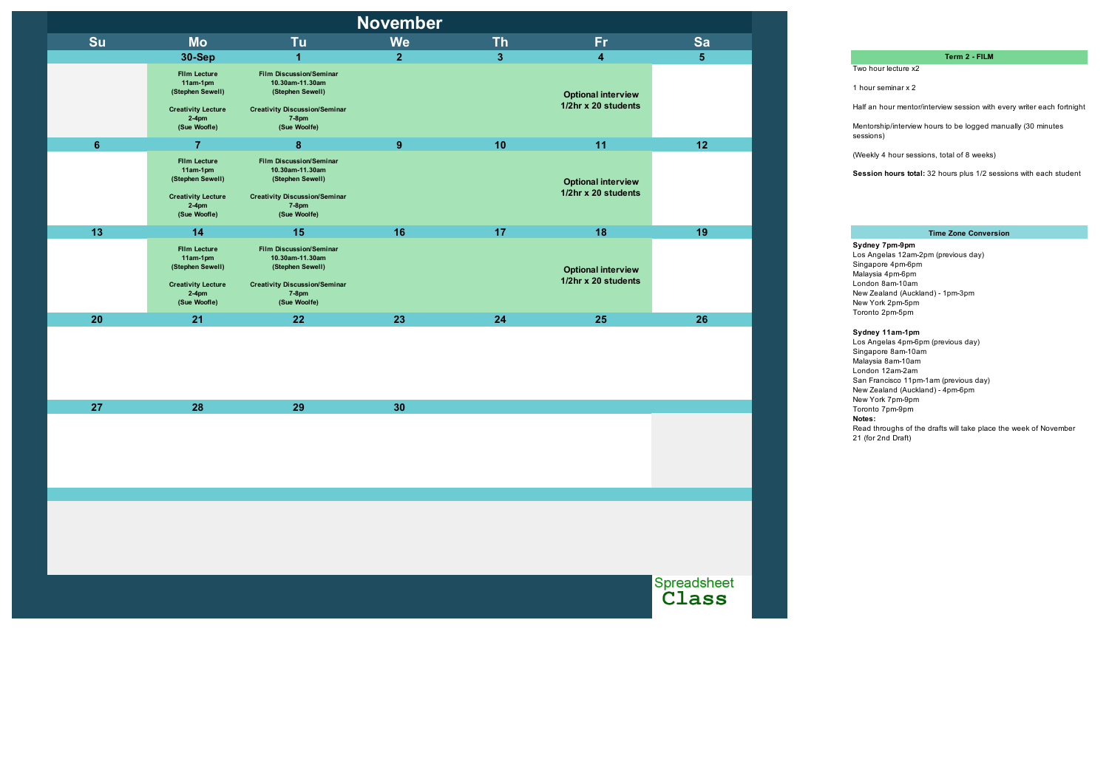| <b>November</b> |                                                                                                                |                                                                                                                                               |                |                         |                                                  |                      |  |  |
|-----------------|----------------------------------------------------------------------------------------------------------------|-----------------------------------------------------------------------------------------------------------------------------------------------|----------------|-------------------------|--------------------------------------------------|----------------------|--|--|
| Su              | <b>Mo</b>                                                                                                      | Tu                                                                                                                                            | <b>We</b>      | <b>Th</b>               | <b>Fr</b>                                        | Sa                   |  |  |
|                 | <b>30-Sep</b>                                                                                                  | $\mathbf{1}$                                                                                                                                  | $\overline{2}$ | $\overline{\mathbf{3}}$ | $\overline{\mathbf{4}}$                          | $5\phantom{.}$       |  |  |
|                 | <b>Film Lecture</b><br>$11am-1pm$<br>(Stephen Sewell)<br><b>Creativity Lecture</b><br>$2-4$ pm<br>(Sue Woofle) | <b>Film Discussion/Seminar</b><br>10.30am-11.30am<br>(Stephen Sewell)<br><b>Creativity Discussion/Seminar</b><br><b>7-8pm</b><br>(Sue Woolfe) |                |                         | <b>Optional interview</b><br>1/2hr x 20 students |                      |  |  |
| $6\phantom{1}$  | $\overline{7}$                                                                                                 | 8                                                                                                                                             | 9              | 10                      | 11                                               | 12                   |  |  |
|                 | <b>Film Lecture</b><br>11am-1pm<br>(Stephen Sewell)<br><b>Creativity Lecture</b><br>$2-4$ pm<br>(Sue Woofle)   | <b>Film Discussion/Seminar</b><br>10.30am-11.30am<br>(Stephen Sewell)<br><b>Creativity Discussion/Seminar</b><br><b>7-8pm</b><br>(Sue Woolfe) |                |                         | <b>Optional interview</b><br>1/2hr x 20 students |                      |  |  |
| 13              | 14                                                                                                             | 15                                                                                                                                            | 16             | 17                      | 18                                               | 19                   |  |  |
|                 | <b>Film Lecture</b><br>11am-1pm<br>(Stephen Sewell)<br><b>Creativity Lecture</b><br>$2-4$ pm<br>(Sue Woofle)   | <b>Film Discussion/Seminar</b><br>10.30am-11.30am<br>(Stephen Sewell)<br><b>Creativity Discussion/Seminar</b><br><b>7-8pm</b><br>(Sue Woolfe) |                |                         | <b>Optional interview</b><br>1/2hr x 20 students |                      |  |  |
| 20              | 21                                                                                                             | 22                                                                                                                                            | 23             | 24                      | 25                                               | 26                   |  |  |
|                 |                                                                                                                |                                                                                                                                               |                |                         |                                                  |                      |  |  |
| 27              | 28                                                                                                             | 29                                                                                                                                            | 30             |                         |                                                  |                      |  |  |
|                 |                                                                                                                |                                                                                                                                               |                |                         |                                                  |                      |  |  |
|                 |                                                                                                                |                                                                                                                                               |                |                         |                                                  |                      |  |  |
|                 |                                                                                                                |                                                                                                                                               |                |                         |                                                  |                      |  |  |
|                 |                                                                                                                |                                                                                                                                               |                |                         |                                                  | Spreadsheet<br>Class |  |  |

**Notes:** Read throughs of the drafts will take place the week of November 21 (for 2nd Draft) **Sydney 11am-1pm** Los Angelas 4pm-6pm (previous day) Singapore 8am-10am Malaysia 8am-10am London 12am-2am San Francisco 11pm-1am (previous day) New Zealand (Auckland) - 4pm-6pm New York 7pm-9pm Toronto 7pm-9pm

## **Term 2 - FILM**

Two hour lecture x2

1 hour seminar x 2

Half an hour mentor/interview session with every writer each fortnight

Mentorship/interview hours to be logged manually (30 minutes sessions)

(Weekly 4 hour sessions, total of 8 weeks)

**Session hours total:** 32 hours plus 1/2 sessions with each student

#### **Time Zone Conversion**

#### **Sydney 7pm-9pm**

Los Angelas 12am-2pm (previous day) Singapore 4pm-6pm Malaysia 4pm-6pm London 8am-10am New Zealand (Auckland) - 1pm-3pm New York 2pm-5pm Toronto 2pm-5pm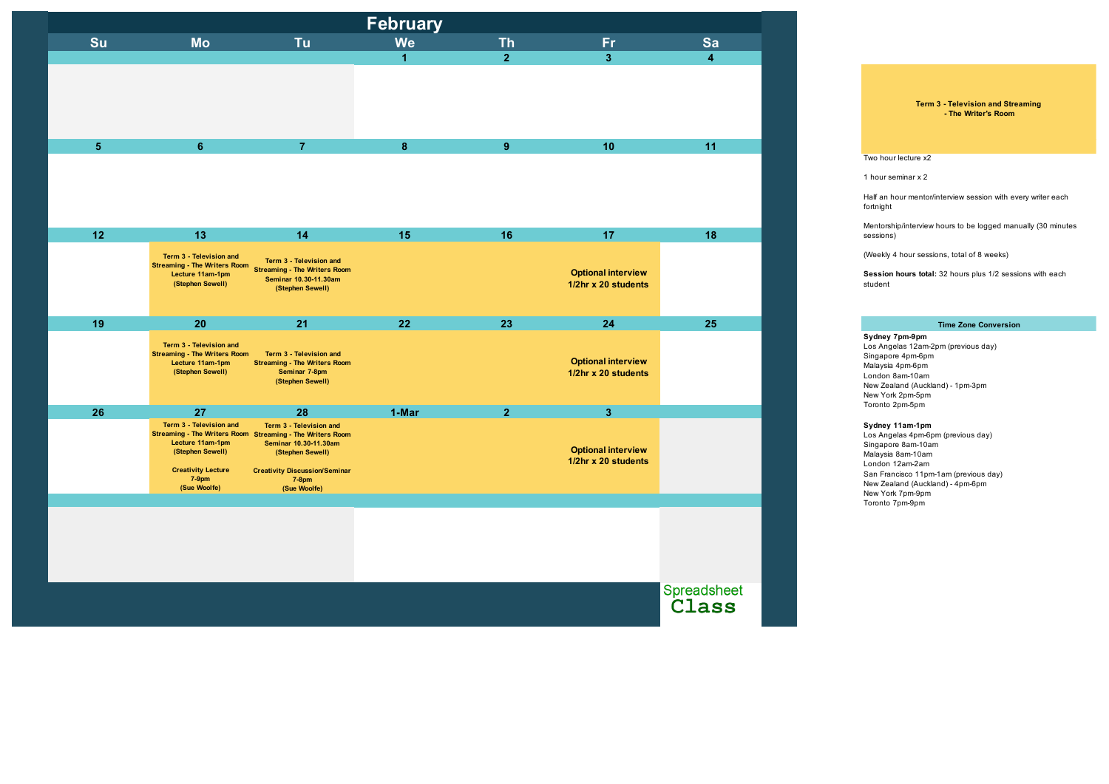| February   |                                                                                                                          |                                                                                                                                                                                                       |                  |                |                                                  |                         |  |  |
|------------|--------------------------------------------------------------------------------------------------------------------------|-------------------------------------------------------------------------------------------------------------------------------------------------------------------------------------------------------|------------------|----------------|--------------------------------------------------|-------------------------|--|--|
| Su         | <b>Mo</b>                                                                                                                | Tu                                                                                                                                                                                                    | <b>We</b>        | <b>Th</b>      | <b>Fr</b>                                        | Sa                      |  |  |
|            |                                                                                                                          |                                                                                                                                                                                                       | $\mathbf{1}$     | 2 <sup>1</sup> | $\overline{\mathbf{3}}$                          | $\overline{\mathbf{4}}$ |  |  |
|            |                                                                                                                          |                                                                                                                                                                                                       |                  |                |                                                  |                         |  |  |
| $\sqrt{5}$ | $6\phantom{1}$                                                                                                           | $\overline{7}$                                                                                                                                                                                        | $\boldsymbol{8}$ | 9              | 10                                               | 11                      |  |  |
|            |                                                                                                                          |                                                                                                                                                                                                       |                  |                |                                                  |                         |  |  |
| $12$       | 13                                                                                                                       | 14                                                                                                                                                                                                    | 15               | 16             | 17                                               | 18                      |  |  |
|            | Term 3 - Television and<br><b>Streaming - The Writers Room</b><br>Lecture 11am-1pm<br>(Stephen Sewell)                   | Term 3 - Television and<br><b>Streaming - The Writers Room</b><br>Seminar 10.30-11.30am<br>(Stephen Sewell)                                                                                           |                  |                | <b>Optional interview</b><br>1/2hr x 20 students |                         |  |  |
| 19         | 20                                                                                                                       | 21                                                                                                                                                                                                    | 22               | 23             | 24                                               | 25                      |  |  |
|            | Term 3 - Television and<br><b>Streaming - The Writers Room</b><br>Lecture 11am-1pm<br>(Stephen Sewell)                   | Term 3 - Television and<br><b>Streaming - The Writers Room</b><br>Seminar 7-8pm<br>(Stephen Sewell)                                                                                                   |                  |                | <b>Optional interview</b><br>1/2hr x 20 students |                         |  |  |
| 26         | 27                                                                                                                       | 28                                                                                                                                                                                                    | 1-Mar            | 2 <sup>1</sup> | $\overline{\mathbf{3}}$                          |                         |  |  |
|            | Term 3 - Television and<br>Lecture 11am-1pm<br>(Stephen Sewell)<br><b>Creativity Lecture</b><br>$7-9$ pm<br>(Sue Woolfe) | Term 3 - Television and<br>Streaming - The Writers Room Streaming - The Writers Room<br>Seminar 10.30-11.30am<br>(Stephen Sewell)<br><b>Creativity Discussion/Seminar</b><br>$7-8$ pm<br>(Sue Woolfe) |                  |                | <b>Optional interview</b><br>1/2hr x 20 students |                         |  |  |
|            |                                                                                                                          |                                                                                                                                                                                                       |                  |                |                                                  |                         |  |  |
|            |                                                                                                                          |                                                                                                                                                                                                       |                  |                |                                                  |                         |  |  |
|            |                                                                                                                          |                                                                                                                                                                                                       |                  |                |                                                  | Spreadsheet<br>Class    |  |  |

Los Angelas 4pm-6pm (previous day) Singapore 8am-10am Malaysia 8am-10am London 12am-2am San Francisco 11pm-1am (previous day) New Zealand (Auckland) - 4pm-6pm New York 7pm-9pm Toronto 7pm-9pm

#### **Sydney 7pm-9pm**

Los Angelas 12am-2pm (previous day) Singapore 4pm-6pm Malaysia 4pm-6pm London 8am-10am New Zealand (Auckland) - 1pm-3pm New York 2pm-5pm Toronto 2pm-5pm

#### **Term 3 - Television and Streaming - The Writer's Room**

Two hour lecture x2

1 hour seminar x 2

Half an hour mentor/interview session with every writer each fortnight

Mentorship/interview hours to be logged manually (30 minutes sessions)

(Weekly 4 hour sessions, total of 8 weeks)

**Session hours total:** 32 hours plus 1/2 sessions with each student

## **Time Zone Conversion**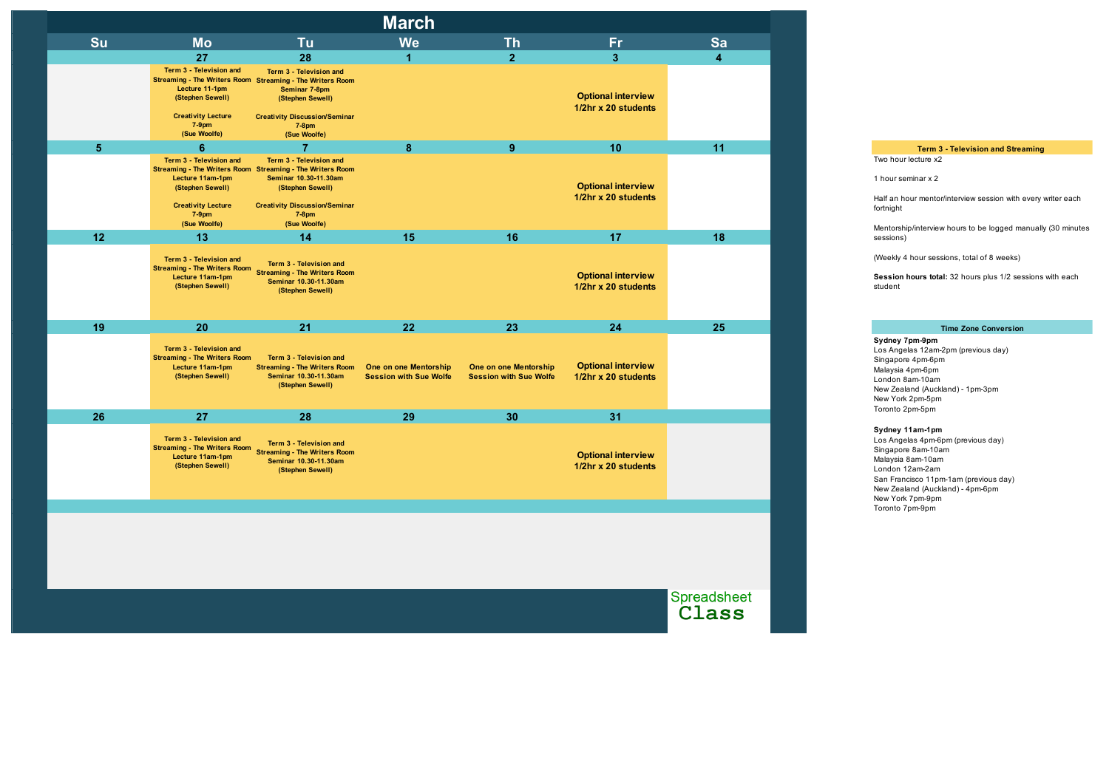|                |                                                                                                                                                                                       |                                                                                                                                          | <b>March</b>                                           |                                                        |                                                  |                      |
|----------------|---------------------------------------------------------------------------------------------------------------------------------------------------------------------------------------|------------------------------------------------------------------------------------------------------------------------------------------|--------------------------------------------------------|--------------------------------------------------------|--------------------------------------------------|----------------------|
| Su             | <b>Mo</b>                                                                                                                                                                             | Tu                                                                                                                                       | <b>We</b>                                              | <b>Th</b>                                              | <b>Fr</b>                                        | Sa                   |
|                | 27                                                                                                                                                                                    | 28                                                                                                                                       | $\overline{1}$                                         | 2 <sup>1</sup>                                         | 3 <sup>1</sup>                                   | $\boldsymbol{4}$     |
|                | Term 3 - Television and<br>Streaming - The Writers Room Streaming - The Writers Room<br>Lecture 11-1pm<br>(Stephen Sewell)<br><b>Creativity Lecture</b><br>$7-9$ pm<br>(Sue Woolfe)   | Term 3 - Television and<br>Seminar 7-8pm<br>(Stephen Sewell)<br><b>Creativity Discussion/Seminar</b><br>$7-8$ pm<br>(Sue Woolfe)         |                                                        |                                                        | <b>Optional interview</b><br>1/2hr x 20 students |                      |
| $5\phantom{1}$ | $6\phantom{1}$                                                                                                                                                                        | 7                                                                                                                                        | 8                                                      | 9                                                      | 10                                               | 11                   |
|                | Term 3 - Television and<br>Streaming - The Writers Room Streaming - The Writers Room<br>Lecture 11am-1pm<br>(Stephen Sewell)<br><b>Creativity Lecture</b><br>$7-9$ pm<br>(Sue Woolfe) | Term 3 - Television and<br>Seminar 10.30-11.30am<br>(Stephen Sewell)<br><b>Creativity Discussion/Seminar</b><br>$7-8$ pm<br>(Sue Woolfe) |                                                        |                                                        | <b>Optional interview</b><br>1/2hr x 20 students |                      |
| 12             | 13                                                                                                                                                                                    | 14                                                                                                                                       | 15                                                     | 16                                                     | 17                                               | 18                   |
|                | Term 3 - Television and<br><b>Streaming - The Writers Room</b><br>Lecture 11am-1pm<br>(Stephen Sewell)                                                                                | Term 3 - Television and<br><b>Streaming - The Writers Room</b><br>Seminar 10.30-11.30am<br>(Stephen Sewell)                              |                                                        |                                                        | <b>Optional interview</b><br>1/2hr x 20 students |                      |
| 19             | 20                                                                                                                                                                                    | 21                                                                                                                                       | 22                                                     | 23                                                     | 24                                               | 25                   |
|                | Term 3 - Television and<br><b>Streaming - The Writers Room</b><br>Lecture 11am-1pm<br>(Stephen Sewell)                                                                                | Term 3 - Television and<br><b>Streaming - The Writers Room</b><br>Seminar 10.30-11.30am<br>(Stephen Sewell)                              | One on one Mentorship<br><b>Session with Sue Wolfe</b> | One on one Mentorship<br><b>Session with Sue Wolfe</b> | <b>Optional interview</b><br>1/2hr x 20 students |                      |
| 26             | 27                                                                                                                                                                                    | 28                                                                                                                                       | 29                                                     | 30                                                     | 31                                               |                      |
|                | Term 3 - Television and<br><b>Streaming - The Writers Room</b><br>Lecture 11am-1pm<br>(Stephen Sewell)                                                                                | Term 3 - Television and<br><b>Streaming - The Writers Room</b><br>Seminar 10.30-11.30am<br>(Stephen Sewell)                              |                                                        |                                                        | <b>Optional interview</b><br>1/2hr x 20 students |                      |
|                |                                                                                                                                                                                       |                                                                                                                                          |                                                        |                                                        |                                                  |                      |
|                |                                                                                                                                                                                       |                                                                                                                                          |                                                        |                                                        |                                                  |                      |
|                |                                                                                                                                                                                       |                                                                                                                                          |                                                        |                                                        |                                                  | Spreadsheet<br>Class |

Los Angelas 4pm-6pm (previous day) Singapore 8am-10am Malaysia 8am-10am London 12am-2am San Francisco 11pm-1am (previous day) New Zealand (Auckland) - 4pm-6pm New York 7pm-9pm Toronto 7pm-9pm

## **Sydney 7pm-9pm**

Los Angelas 12am-2pm (previous day) Singapore 4pm-6pm Malaysia 4pm-6pm London 8am-10am New Zealand (Auckland) - 1pm-3pm New York 2pm-5pm Toronto 2pm-5pm

**Term 3 - Television and Streaming** 

Two hour lecture x2

1 hour seminar x 2

Half an hour mentor/interview session with every writer each fortnight

Mentorship/interview hours to be logged manually (30 minutes sessions)

(Weekly 4 hour sessions, total of 8 weeks)

**Session hours total:** 32 hours plus 1/2 sessions with each student

## **Time Zone Conversion**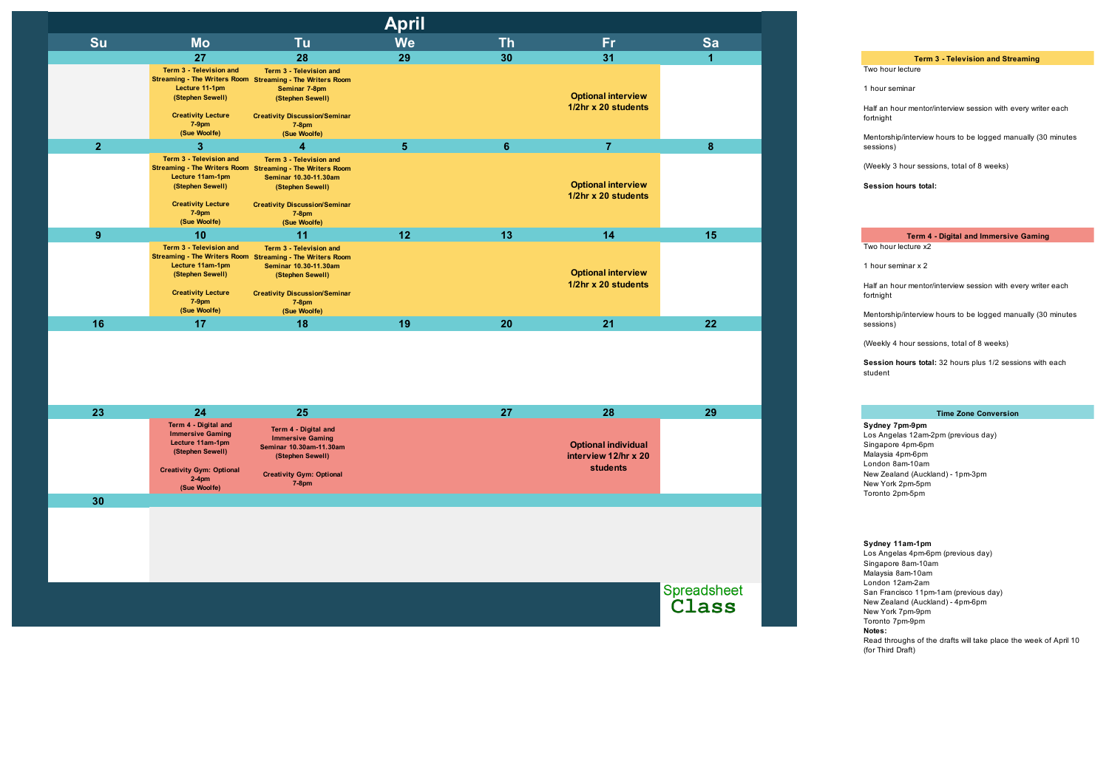| <b>April</b>   |                                                                                                                          |                                                                                                                                                                                                       |                |                |                                                  |              |  |  |
|----------------|--------------------------------------------------------------------------------------------------------------------------|-------------------------------------------------------------------------------------------------------------------------------------------------------------------------------------------------------|----------------|----------------|--------------------------------------------------|--------------|--|--|
| Su             | <b>Mo</b>                                                                                                                | Tu                                                                                                                                                                                                    | <b>We</b>      | <b>Th</b>      | <b>Fr</b>                                        | Sa           |  |  |
|                | 27                                                                                                                       | 28                                                                                                                                                                                                    | 29             | 30             | 31                                               | $\mathbf{1}$ |  |  |
|                | Term 3 - Television and<br>Lecture 11-1pm<br>(Stephen Sewell)<br><b>Creativity Lecture</b><br>$7-9$ pm                   | Term 3 - Television and<br>Streaming - The Writers Room Streaming - The Writers Room<br>Seminar 7-8pm<br>(Stephen Sewell)<br><b>Creativity Discussion/Seminar</b><br>$7-8$ pm                         |                |                | <b>Optional interview</b><br>1/2hr x 20 students |              |  |  |
|                | (Sue Woolfe)                                                                                                             | (Sue Woolfe)                                                                                                                                                                                          |                |                |                                                  |              |  |  |
| 2 <sup>2</sup> | 3 <sup>1</sup>                                                                                                           | 4                                                                                                                                                                                                     | 5 <sup>5</sup> | 6 <sup>1</sup> | $\overline{7}$                                   | 8            |  |  |
|                | Term 3 - Television and<br>Lecture 11am-1pm<br>(Stephen Sewell)<br><b>Creativity Lecture</b><br>$7-9$ pm<br>(Sue Woolfe) | Term 3 - Television and<br>Streaming - The Writers Room Streaming - The Writers Room<br>Seminar 10.30-11.30am<br>(Stephen Sewell)<br><b>Creativity Discussion/Seminar</b><br>$7-8$ pm<br>(Sue Woolfe) |                |                | <b>Optional interview</b><br>1/2hr x 20 students |              |  |  |
| 9              | 10                                                                                                                       | 11                                                                                                                                                                                                    | 12             | 13             | 14                                               | 15           |  |  |
|                | Term 3 - Television and<br>Lecture 11am-1pm<br>(Stephen Sewell)<br><b>Creativity Lecture</b><br>$7-9$ pm<br>(Sue Woolfe) | Term 3 - Television and<br>Streaming - The Writers Room Streaming - The Writers Room<br>Seminar 10.30-11.30am<br>(Stephen Sewell)<br><b>Creativity Discussion/Seminar</b><br>$7-8$ pm<br>(Sue Woolfe) |                |                | <b>Optional interview</b><br>1/2hr x 20 students |              |  |  |
| 16             | 17                                                                                                                       | 18                                                                                                                                                                                                    | 19             | 20             | 21                                               | 22           |  |  |
|                |                                                                                                                          |                                                                                                                                                                                                       |                |                |                                                  |              |  |  |
| 23             | 24                                                                                                                       | 25                                                                                                                                                                                                    |                | 27             | 28                                               | 29           |  |  |
|                | Term 4 - Digital and<br><b>Immersive Gaming</b>                                                                          | Term 4 - Digital and                                                                                                                                                                                  |                |                |                                                  |              |  |  |

Mentorship/interview hours to be logged manually (30 minutes sessions)

Mentorship/interview hours to be logged manually (30 minutes sessions)

**Immersive Gaming Lecture 11am-1pm (Stephen Sewell) Creativity Gym: Optional 2-4pm (Sue Woolfe) Immersive Gaming Seminar 10.30am-11.30am (Stephen Sewell) Creativity Gym: Optional 7-8pm Optional individual interview 12/hr x 20 students**

**30**

Spreadsheet<br>Class

**Notes:** Read throughs of the drafts will take place the week of April 10 (for Third Draft) **Sydney 11am-1pm** Los Angelas 4pm-6pm (previous day) Singapore 8am-10am Malaysia 8am-10am London 12am-2am San Francisco 11pm-1am (previous day) New Zealand (Auckland) - 4pm-6pm New York 7pm-9pm Toronto 7pm-9pm

**Time Zone Conversion**

**Sydney 7pm-9pm** Los Angelas 12am-2pm (previous day) Singapore 4pm-6pm Malaysia 4pm-6pm London 8am-10am New Zealand (Auckland) - 1pm-3pm New York 2pm-5pm Toronto 2pm-5pm

## **Term 3 - Television and Streaming**

Two hour lecture

1 hour seminar

Half an hour mentor/interview session with every writer each fortnight

(Weekly 3 hour sessions, total of 8 weeks)

**Session hours total:**

1 hour seminar x 2

Half an hour mentor/interview session with every writer each fortnight

(Weekly 4 hour sessions, total of 8 weeks)

**Session hours total:** 32 hours plus 1/2 sessions with each student

**Term 4 - Digital and Immersive Gaming**

Two hour lecture x2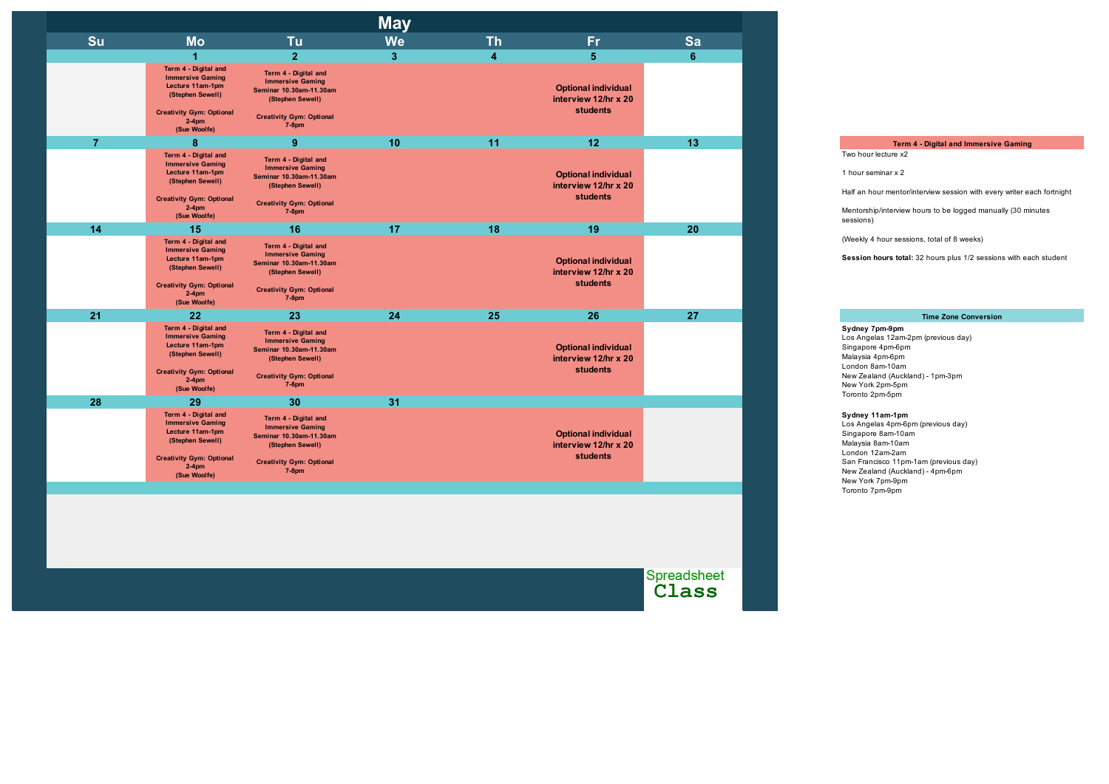| <b>We</b><br>$\mathbf{3}$<br>10 | <b>Th</b><br>4 | <b>Fr</b><br>$\sqrt{5}$<br><b>Optional individual</b><br>interview 12/hr x 20<br><b>students</b> | Sa<br>$\boldsymbol{6}$ |
|---------------------------------|----------------|--------------------------------------------------------------------------------------------------|------------------------|
|                                 |                |                                                                                                  |                        |
|                                 |                |                                                                                                  |                        |
|                                 |                |                                                                                                  |                        |
|                                 | 11             | 12                                                                                               | 13                     |
|                                 |                | <b>Optional individual</b><br>interview 12/hr x 20<br><b>students</b>                            |                        |
| 17                              | 18             | 19                                                                                               | 20                     |
|                                 |                | <b>Optional individual</b><br>interview 12/hr x 20<br><b>students</b>                            |                        |
| 24                              | 25             | 26                                                                                               | 27                     |
|                                 |                | <b>Optional individual</b><br>interview 12/hr x 20<br>students                                   |                        |
| 31                              |                |                                                                                                  |                        |
|                                 |                | <b>Optional individual</b><br>interview 12/hr x 20<br><b>students</b>                            |                        |
|                                 |                |                                                                                                  |                        |

Spreadsheet<br>Class

# **Sydney 11am-1pm**

Los Angelas 4pm-6pm (previous day) Singapore 8am-10am Malaysia 8am-10am London 12am-2am San Francisco 11pm-1am (previous day) New Zealand (Auckland) - 4pm-6pm New York 7pm-9pm Toronto 7pm-9pm

#### **Time Zone Conversion**

**Sydney 7pm-9pm** Los Angelas 12am-2pm (previous day) Singapore 4pm-6pm Malaysia 4pm-6pm

London 8am-10am New Zealand (Auckland) - 1pm-3pm New York 2pm-5pm Toronto 2pm-5pm

**Term 4 - Digital and Immersive Gaming**

Two hour lecture x2

1 hour seminar x 2

Half an hour mentor/interview session with every writer each fortnight

Mentorship/interview hours to be logged manually (30 minutes sessions)

(Weekly 4 hour sessions, total of 8 weeks)

**Session hours total:** 32 hours plus 1/2 sessions with each student